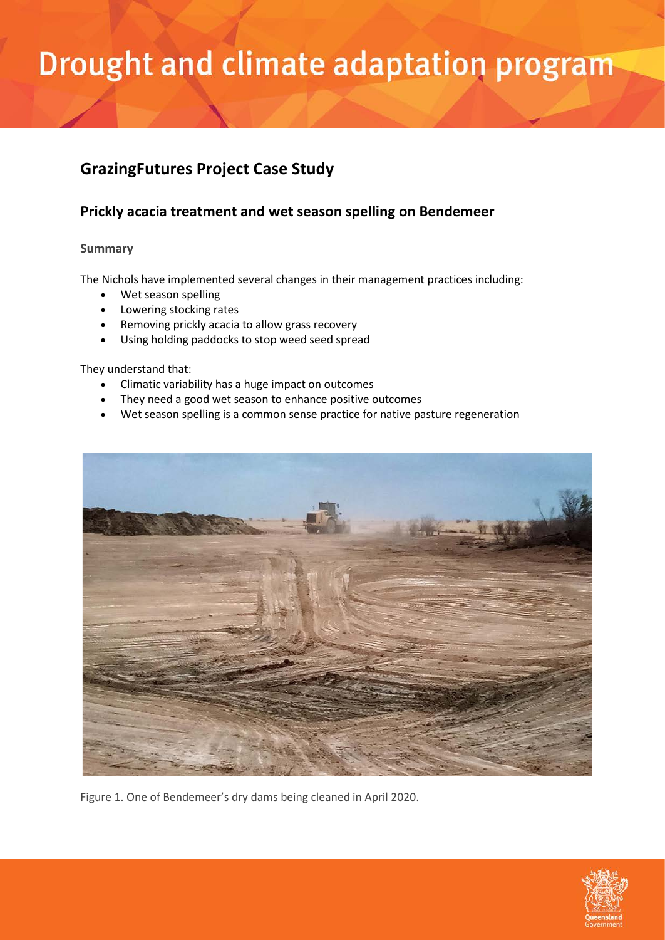### **GrazingFutures Project Case Study**

### **Prickly acacia treatment and wet season spelling on Bendemeer**

### **Summary**

The Nichols have implemented several changes in their management practices including:

- Wet season spelling
- Lowering stocking rates
- Removing prickly acacia to allow grass recovery
- Using holding paddocks to stop weed seed spread

They understand that:

- Climatic variability has a huge impact on outcomes
- They need a good wet season to enhance positive outcomes
- Wet season spelling is a common sense practice for native pasture regeneration



Figure 1. One of Bendemeer's dry dams being cleaned in April 2020.

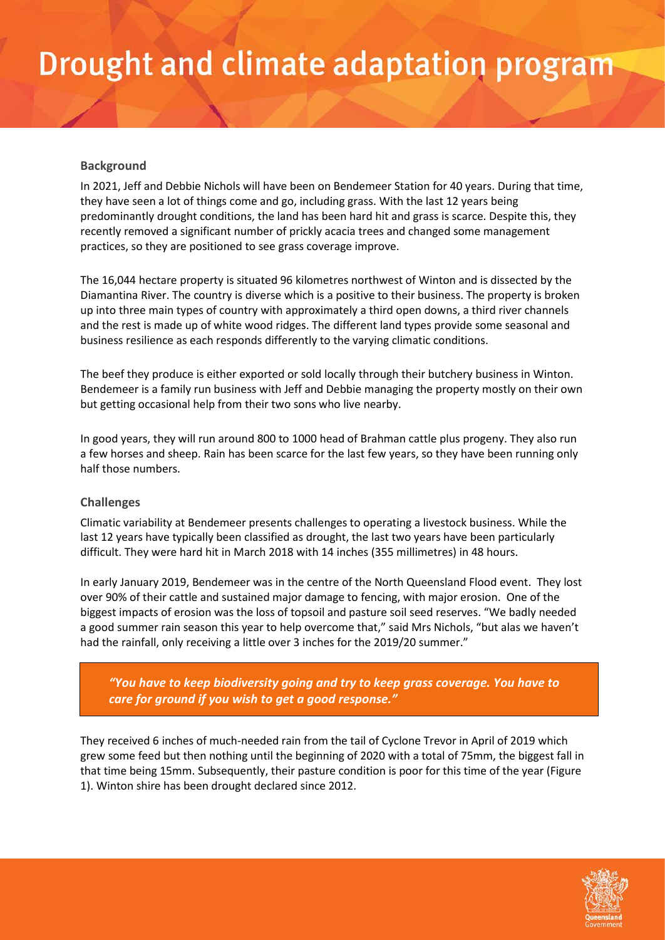#### **Background**

In 2021, Jeff and Debbie Nichols will have been on Bendemeer Station for 40 years. During that time, they have seen a lot of things come and go, including grass. With the last 12 years being predominantly drought conditions, the land has been hard hit and grass is scarce. Despite this, they recently removed a significant number of prickly acacia trees and changed some management practices, so they are positioned to see grass coverage improve.

The 16,044 hectare property is situated 96 kilometres northwest of Winton and is dissected by the Diamantina River. The country is diverse which is a positive to their business. The property is broken up into three main types of country with approximately a third open downs, a third river channels and the rest is made up of white wood ridges. The different land types provide some seasonal and business resilience as each responds differently to the varying climatic conditions.

The beef they produce is either exported or sold locally through their butchery business in Winton. Bendemeer is a family run business with Jeff and Debbie managing the property mostly on their own but getting occasional help from their two sons who live nearby.

In good years, they will run around 800 to 1000 head of Brahman cattle plus progeny. They also run a few horses and sheep. Rain has been scarce for the last few years, so they have been running only half those numbers.

#### **Challenges**

Climatic variability at Bendemeer presents challenges to operating a livestock business. While the last 12 years have typically been classified as drought, the last two years have been particularly difficult. They were hard hit in March 2018 with 14 inches (355 millimetres) in 48 hours.

In early January 2019, Bendemeer was in the centre of the North Queensland Flood event. They lost over 90% of their cattle and sustained major damage to fencing, with major erosion. One of the biggest impacts of erosion was the loss of topsoil and pasture soil seed reserves. "We badly needed a good summer rain season this year to help overcome that," said Mrs Nichols, "but alas we haven't had the rainfall, only receiving a little over 3 inches for the 2019/20 summer."

*"You have to keep biodiversity going and try to keep grass coverage. You have to care for ground if you wish to get a good response."*

They received 6 inches of much-needed rain from the tail of Cyclone Trevor in April of 2019 which grew some feed but then nothing until the beginning of 2020 with a total of 75mm, the biggest fall in that time being 15mm. Subsequently, their pasture condition is poor for this time of the year (Figure 1). Winton shire has been drought declared since 2012.

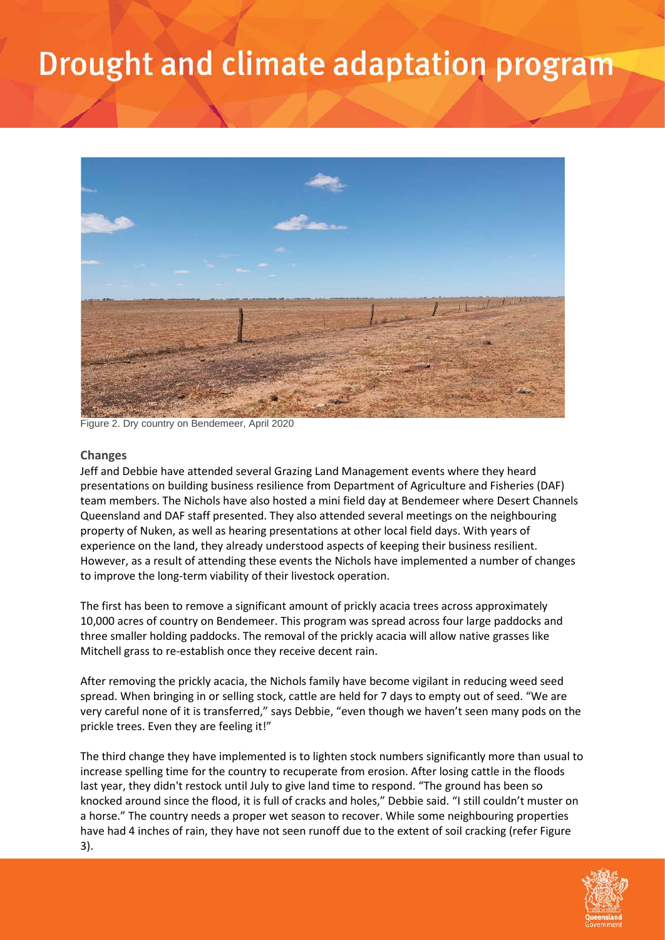

Figure 2. Dry country on Bendemeer, April 2020

#### **Changes**

Jeff and Debbie have attended several Grazing Land Management events where they heard presentations on building business resilience from Department of Agriculture and Fisheries (DAF) team members. The Nichols have also hosted a mini field day at Bendemeer where Desert Channels Queensland and DAF staff presented. They also attended several meetings on the neighbouring property of Nuken, as well as hearing presentations at other local field days. With years of experience on the land, they already understood aspects of keeping their business resilient. However, as a result of attending these events the Nichols have implemented a number of changes to improve the long-term viability of their livestock operation.

The first has been to remove a significant amount of prickly acacia trees across approximately 10,000 acres of country on Bendemeer. This program was spread across four large paddocks and three smaller holding paddocks. The removal of the prickly acacia will allow native grasses like Mitchell grass to re-establish once they receive decent rain.

After removing the prickly acacia, the Nichols family have become vigilant in reducing weed seed spread. When bringing in or selling stock, cattle are held for 7 days to empty out of seed. "We are very careful none of it is transferred," says Debbie, "even though we haven't seen many pods on the prickle trees. Even they are feeling it!"

The third change they have implemented is to lighten stock numbers significantly more than usual to increase spelling time for the country to recuperate from erosion. After losing cattle in the floods last year, they didn't restock until July to give land time to respond. "The ground has been so knocked around since the flood, it is full of cracks and holes," Debbie said. "I still couldn't muster on a horse." The country needs a proper wet season to recover. While some neighbouring properties have had 4 inches of rain, they have not seen runoff due to the extent of soil cracking (refer Figure 3).

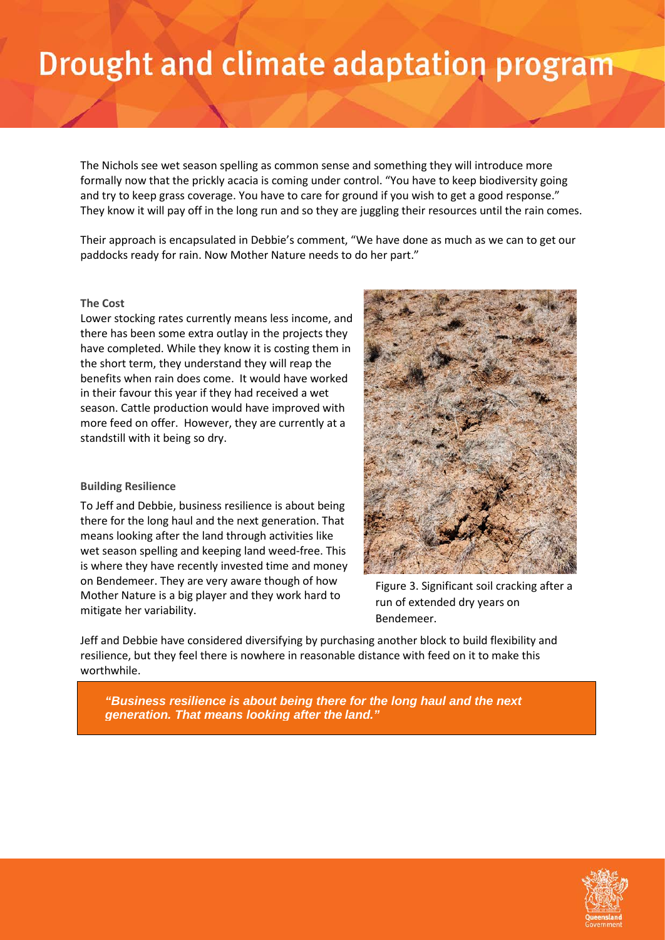The Nichols see wet season spelling as common sense and something they will introduce more formally now that the prickly acacia is coming under control. "You have to keep biodiversity going and try to keep grass coverage. You have to care for ground if you wish to get a good response." They know it will pay off in the long run and so they are juggling their resources until the rain comes.

Their approach is encapsulated in Debbie's comment, "We have done as much as we can to get our paddocks ready for rain. Now Mother Nature needs to do her part."

#### **The Cost**

Lower stocking rates currently means less income, and there has been some extra outlay in the projects they have completed. While they know it is costing them in the short term, they understand they will reap the benefits when rain does come. It would have worked in their favour this year if they had received a wet season. Cattle production would have improved with more feed on offer. However, they are currently at a standstill with it being so dry.

#### **Building Resilience**

To Jeff and Debbie, business resilience is about being there for the long haul and the next generation. That means looking after the land through activities like wet season spelling and keeping land weed-free. This is where they have recently invested time and money on Bendemeer. They are very aware though of how Mother Nature is a big player and they work hard to mitigate her variability.



Figure 3. Significant soil cracking after a run of extended dry years on Bendemeer.

Jeff and Debbie have considered diversifying by purchasing another block to build flexibility and resilience, but they feel there is nowhere in reasonable distance with feed on it to make this worthwhile.

*"Business resilience is about being there for the long haul and the next generation. That means looking after the land."*

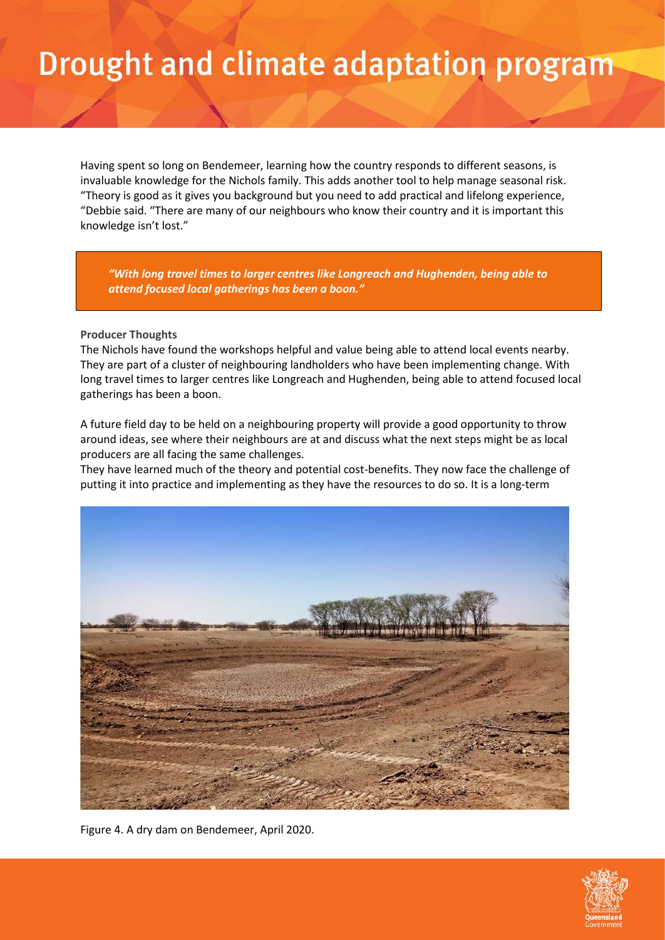Having spent so long on Bendemeer, learning how the country responds to different seasons, is invaluable knowledge for the Nichols family. This adds another tool to help manage seasonal risk. "Theory is good as it gives you background but you need to add practical and lifelong experience, "Debbie said. "There are many of our neighbours who know their country and it is important this knowledge isn't lost."

*"With long travel times to larger centres like Longreach and Hughenden, being able to attend focused local gatherings has been a boon."*

#### **Producer Thoughts**

The Nichols have found the workshops helpful and value being able to attend local events nearby. They are part of a cluster of neighbouring landholders who have been implementing change. With long travel times to larger centres like Longreach and Hughenden, being able to attend focused local gatherings has been a boon.

A future field day to be held on a neighbouring property will provide a good opportunity to throw around ideas, see where their neighbours are at and discuss what the next steps might be as local producers are all facing the same challenges.

They have learned much of the theory and potential cost-benefits. They now face the challenge of putting it into practice and implementing as they have the resources to do so. It is a long-term



Figure 4. A dry dam on Bendemeer, April 2020.